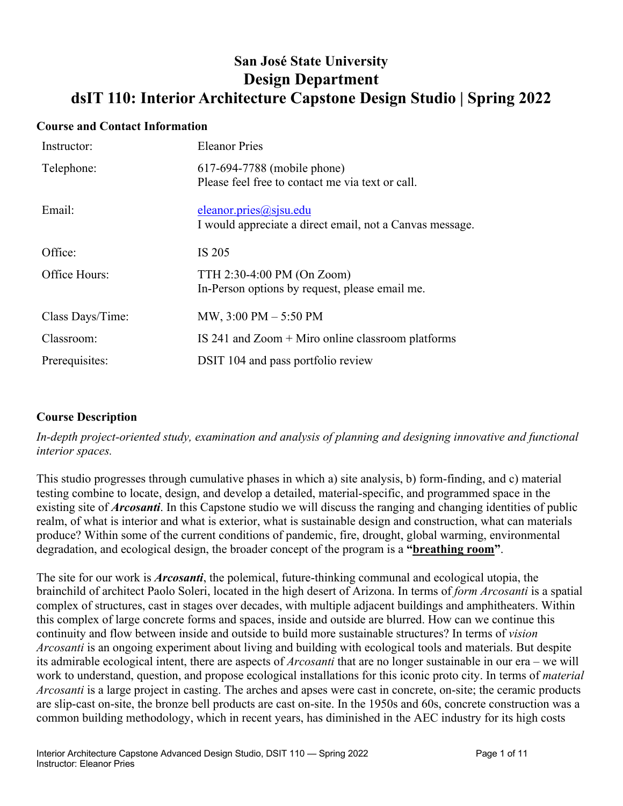# **San José State University Design Department dsIT 110: Interior Architecture Capstone Design Studio | Spring 2022**

#### **Course and Contact Information**

| Instructor:      | <b>Eleanor Pries</b>                                                               |
|------------------|------------------------------------------------------------------------------------|
| Telephone:       | 617-694-7788 (mobile phone)<br>Please feel free to contact me via text or call.    |
| Email:           | eleanor.pries@sjsu.edu<br>I would appreciate a direct email, not a Canvas message. |
| Office:          | IS 205                                                                             |
| Office Hours:    | TTH 2:30-4:00 PM (On Zoom)<br>In-Person options by request, please email me.       |
| Class Days/Time: | MW, 3:00 PM - 5:50 PM                                                              |
| Classroom:       | IS 241 and $Zoom + Miro$ online classroom platforms                                |
| Prerequisites:   | DSIT 104 and pass portfolio review                                                 |

# **Course Description**

*In-depth project-oriented study, examination and analysis of planning and designing innovative and functional interior spaces.*

This studio progresses through cumulative phases in which a) site analysis, b) form-finding, and c) material testing combine to locate, design, and develop a detailed, material-specific, and programmed space in the existing site of *Arcosanti*. In this Capstone studio we will discuss the ranging and changing identities of public realm, of what is interior and what is exterior, what is sustainable design and construction, what can materials produce? Within some of the current conditions of pandemic, fire, drought, global warming, environmental degradation, and ecological design, the broader concept of the program is a **"breathing room"**.

The site for our work is *Arcosanti*, the polemical, future-thinking communal and ecological utopia, the brainchild of architect Paolo Soleri, located in the high desert of Arizona. In terms of *form Arcosanti* is a spatial complex of structures, cast in stages over decades, with multiple adjacent buildings and amphitheaters. Within this complex of large concrete forms and spaces, inside and outside are blurred. How can we continue this continuity and flow between inside and outside to build more sustainable structures? In terms of *vision Arcosanti* is an ongoing experiment about living and building with ecological tools and materials. But despite its admirable ecological intent, there are aspects of *Arcosanti* that are no longer sustainable in our era – we will work to understand, question, and propose ecological installations for this iconic proto city. In terms of *material Arcosanti* is a large project in casting. The arches and apses were cast in concrete, on-site; the ceramic products are slip-cast on-site, the bronze bell products are cast on-site. In the 1950s and 60s, concrete construction was a common building methodology, which in recent years, has diminished in the AEC industry for its high costs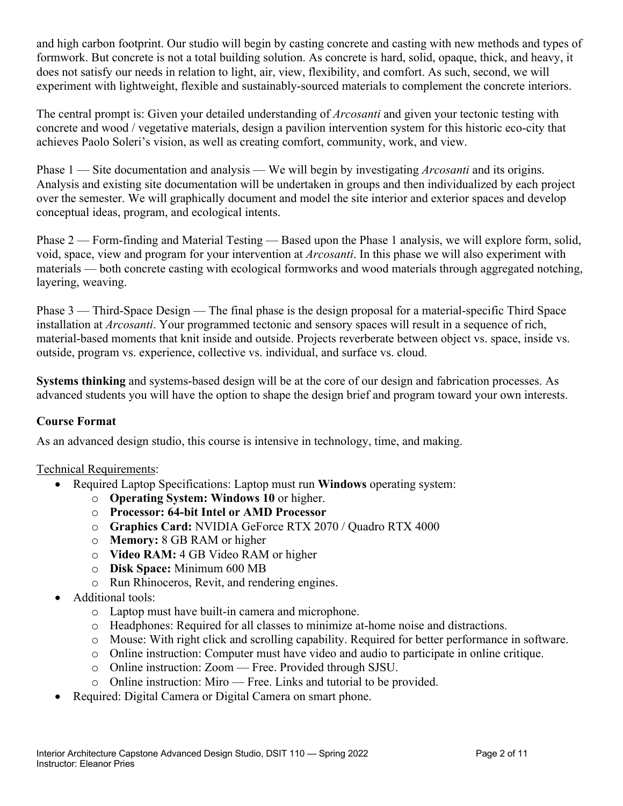and high carbon footprint. Our studio will begin by casting concrete and casting with new methods and types of formwork. But concrete is not a total building solution. As concrete is hard, solid, opaque, thick, and heavy, it does not satisfy our needs in relation to light, air, view, flexibility, and comfort. As such, second, we will experiment with lightweight, flexible and sustainably-sourced materials to complement the concrete interiors.

The central prompt is: Given your detailed understanding of *Arcosanti* and given your tectonic testing with concrete and wood / vegetative materials, design a pavilion intervention system for this historic eco-city that achieves Paolo Soleri's vision, as well as creating comfort, community, work, and view.

Phase 1 — Site documentation and analysis — We will begin by investigating *Arcosanti* and its origins. Analysis and existing site documentation will be undertaken in groups and then individualized by each project over the semester. We will graphically document and model the site interior and exterior spaces and develop conceptual ideas, program, and ecological intents.

Phase 2 — Form-finding and Material Testing — Based upon the Phase 1 analysis, we will explore form, solid, void, space, view and program for your intervention at *Arcosanti*. In this phase we will also experiment with materials — both concrete casting with ecological formworks and wood materials through aggregated notching, layering, weaving.

Phase 3 — Third-Space Design — The final phase is the design proposal for a material-specific Third Space installation at *Arcosanti*. Your programmed tectonic and sensory spaces will result in a sequence of rich, material-based moments that knit inside and outside. Projects reverberate between object vs. space, inside vs. outside, program vs. experience, collective vs. individual, and surface vs. cloud.

**Systems thinking** and systems-based design will be at the core of our design and fabrication processes. As advanced students you will have the option to shape the design brief and program toward your own interests.

# **Course Format**

As an advanced design studio, this course is intensive in technology, time, and making.

# Technical Requirements:

- Required Laptop Specifications: Laptop must run **Windows** operating system:
	- o **Operating System: Windows 10** or higher.
	- o **Processor: 64-bit Intel or AMD Processor**
	- o **Graphics Card:** NVIDIA GeForce RTX 2070 / Quadro RTX 4000
	- o **Memory:** 8 GB RAM or higher
	- o **Video RAM:** 4 GB Video RAM or higher
	- o **Disk Space:** Minimum 600 MB
	- o Run Rhinoceros, Revit, and rendering engines.
- Additional tools:
	- o Laptop must have built-in camera and microphone.
	- o Headphones: Required for all classes to minimize at-home noise and distractions.
	- o Mouse: With right click and scrolling capability. Required for better performance in software.
	- o Online instruction: Computer must have video and audio to participate in online critique.
	- o Online instruction: Zoom Free. Provided through SJSU.
	- o Online instruction: Miro Free. Links and tutorial to be provided.
- Required: Digital Camera or Digital Camera on smart phone.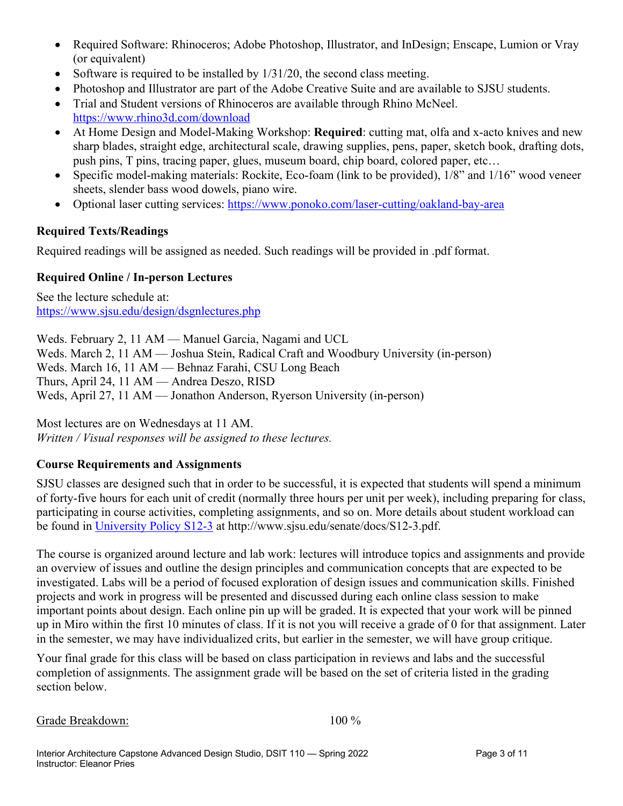- Required Software: Rhinoceros; Adobe Photoshop, Illustrator, and InDesign; Enscape, Lumion or Vray (or equivalent)
- Software is required to be installed by  $1/31/20$ , the second class meeting.
- Photoshop and Illustrator are part of the Adobe Creative Suite and are available to SJSU students.
- Trial and Student versions of Rhinoceros are available through Rhino McNeel. https://www.rhino3d.com/download
- At Home Design and Model-Making Workshop: **Required**: cutting mat, olfa and x-acto knives and new sharp blades, straight edge, architectural scale, drawing supplies, pens, paper, sketch book, drafting dots, push pins, T pins, tracing paper, glues, museum board, chip board, colored paper, etc…
- Specific model-making materials: Rockite, Eco-foam (link to be provided),  $1/8$ " and  $1/16$ " wood veneer sheets, slender bass wood dowels, piano wire.
- Optional laser cutting services: https://www.ponoko.com/laser-cutting/oakland-bay-area

# **Required Texts/Readings**

Required readings will be assigned as needed. Such readings will be provided in .pdf format.

# **Required Online / In-person Lectures**

See the lecture schedule at: https://www.sjsu.edu/design/dsgnlectures.php

Weds. February 2, 11 AM — Manuel Garcia, Nagami and UCL Weds. March 2, 11 AM — Joshua Stein, Radical Craft and Woodbury University (in-person) Weds. March 16, 11 AM — Behnaz Farahi, CSU Long Beach Thurs, April 24, 11 AM — Andrea Deszo, RISD Weds, April 27, 11 AM — Jonathon Anderson, Ryerson University (in-person)

Most lectures are on Wednesdays at 11 AM. *Written / Visual responses will be assigned to these lectures.* 

# **Course Requirements and Assignments**

SJSU classes are designed such that in order to be successful, it is expected that students will spend a minimum of forty-five hours for each unit of credit (normally three hours per unit per week), including preparing for class, participating in course activities, completing assignments, and so on. More details about student workload can be found in University Policy S12-3 at http://www.sjsu.edu/senate/docs/S12-3.pdf.

The course is organized around lecture and lab work: lectures will introduce topics and assignments and provide an overview of issues and outline the design principles and communication concepts that are expected to be investigated. Labs will be a period of focused exploration of design issues and communication skills. Finished projects and work in progress will be presented and discussed during each online class session to make important points about design. Each online pin up will be graded. It is expected that your work will be pinned up in Miro within the first 10 minutes of class. If it is not you will receive a grade of 0 for that assignment. Later in the semester, we may have individualized crits, but earlier in the semester, we will have group critique.

Your final grade for this class will be based on class participation in reviews and labs and the successful completion of assignments. The assignment grade will be based on the set of criteria listed in the grading section below.

Grade Breakdown: 100 %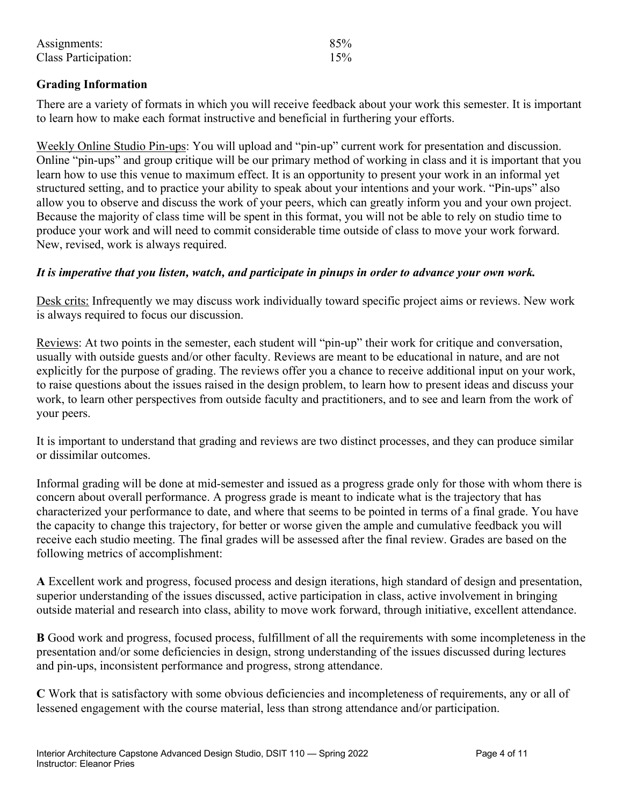| Assignments:         | 85% |
|----------------------|-----|
| Class Participation: | 15% |

# **Grading Information**

There are a variety of formats in which you will receive feedback about your work this semester. It is important to learn how to make each format instructive and beneficial in furthering your efforts.

Weekly Online Studio Pin-ups: You will upload and "pin-up" current work for presentation and discussion. Online "pin-ups" and group critique will be our primary method of working in class and it is important that you learn how to use this venue to maximum effect. It is an opportunity to present your work in an informal yet structured setting, and to practice your ability to speak about your intentions and your work. "Pin-ups" also allow you to observe and discuss the work of your peers, which can greatly inform you and your own project. Because the majority of class time will be spent in this format, you will not be able to rely on studio time to produce your work and will need to commit considerable time outside of class to move your work forward. New, revised, work is always required.

#### *It is imperative that you listen, watch, and participate in pinups in order to advance your own work.*

Desk crits: Infrequently we may discuss work individually toward specific project aims or reviews. New work is always required to focus our discussion.

Reviews: At two points in the semester, each student will "pin-up" their work for critique and conversation, usually with outside guests and/or other faculty. Reviews are meant to be educational in nature, and are not explicitly for the purpose of grading. The reviews offer you a chance to receive additional input on your work, to raise questions about the issues raised in the design problem, to learn how to present ideas and discuss your work, to learn other perspectives from outside faculty and practitioners, and to see and learn from the work of your peers.

It is important to understand that grading and reviews are two distinct processes, and they can produce similar or dissimilar outcomes.

Informal grading will be done at mid-semester and issued as a progress grade only for those with whom there is concern about overall performance. A progress grade is meant to indicate what is the trajectory that has characterized your performance to date, and where that seems to be pointed in terms of a final grade. You have the capacity to change this trajectory, for better or worse given the ample and cumulative feedback you will receive each studio meeting. The final grades will be assessed after the final review. Grades are based on the following metrics of accomplishment:

**A** Excellent work and progress, focused process and design iterations, high standard of design and presentation, superior understanding of the issues discussed, active participation in class, active involvement in bringing outside material and research into class, ability to move work forward, through initiative, excellent attendance.

**B** Good work and progress, focused process, fulfillment of all the requirements with some incompleteness in the presentation and/or some deficiencies in design, strong understanding of the issues discussed during lectures and pin-ups, inconsistent performance and progress, strong attendance.

**C** Work that is satisfactory with some obvious deficiencies and incompleteness of requirements, any or all of lessened engagement with the course material, less than strong attendance and/or participation.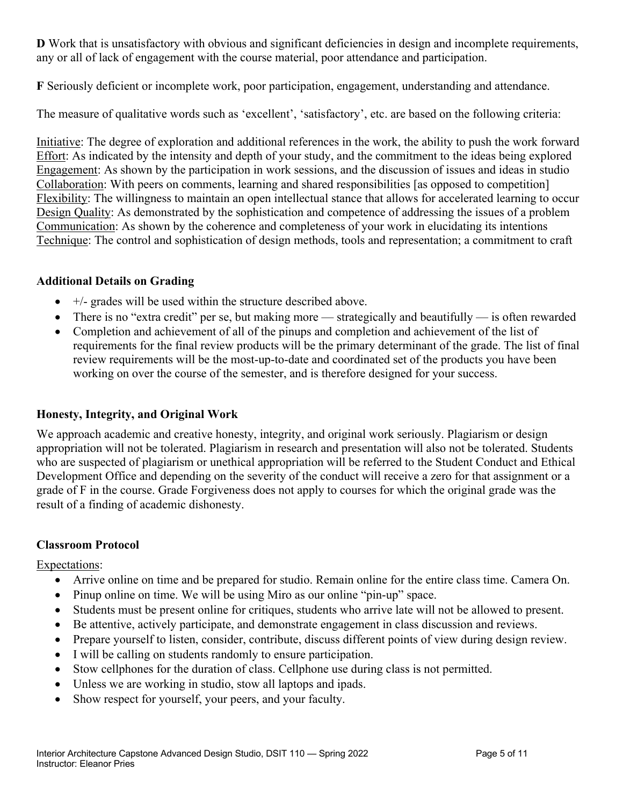**D** Work that is unsatisfactory with obvious and significant deficiencies in design and incomplete requirements, any or all of lack of engagement with the course material, poor attendance and participation.

**F** Seriously deficient or incomplete work, poor participation, engagement, understanding and attendance.

The measure of qualitative words such as 'excellent', 'satisfactory', etc. are based on the following criteria:

Initiative: The degree of exploration and additional references in the work, the ability to push the work forward Effort: As indicated by the intensity and depth of your study, and the commitment to the ideas being explored Engagement: As shown by the participation in work sessions, and the discussion of issues and ideas in studio Collaboration: With peers on comments, learning and shared responsibilities [as opposed to competition] Flexibility: The willingness to maintain an open intellectual stance that allows for accelerated learning to occur Design Quality: As demonstrated by the sophistication and competence of addressing the issues of a problem Communication: As shown by the coherence and completeness of your work in elucidating its intentions Technique: The control and sophistication of design methods, tools and representation; a commitment to craft

# **Additional Details on Grading**

- $\bullet$  +/- grades will be used within the structure described above.
- There is no "extra credit" per se, but making more strategically and beautifully is often rewarded
- Completion and achievement of all of the pinups and completion and achievement of the list of requirements for the final review products will be the primary determinant of the grade. The list of final review requirements will be the most-up-to-date and coordinated set of the products you have been working on over the course of the semester, and is therefore designed for your success.

# **Honesty, Integrity, and Original Work**

We approach academic and creative honesty, integrity, and original work seriously. Plagiarism or design appropriation will not be tolerated. Plagiarism in research and presentation will also not be tolerated. Students who are suspected of plagiarism or unethical appropriation will be referred to the Student Conduct and Ethical Development Office and depending on the severity of the conduct will receive a zero for that assignment or a grade of F in the course. Grade Forgiveness does not apply to courses for which the original grade was the result of a finding of academic dishonesty.

# **Classroom Protocol**

Expectations:

- Arrive online on time and be prepared for studio. Remain online for the entire class time. Camera On.
- Pinup online on time. We will be using Miro as our online "pin-up" space.
- Students must be present online for critiques, students who arrive late will not be allowed to present.
- Be attentive, actively participate, and demonstrate engagement in class discussion and reviews.
- Prepare yourself to listen, consider, contribute, discuss different points of view during design review.
- I will be calling on students randomly to ensure participation.
- Stow cellphones for the duration of class. Cellphone use during class is not permitted.
- Unless we are working in studio, stow all laptops and ipads.
- Show respect for yourself, your peers, and your faculty.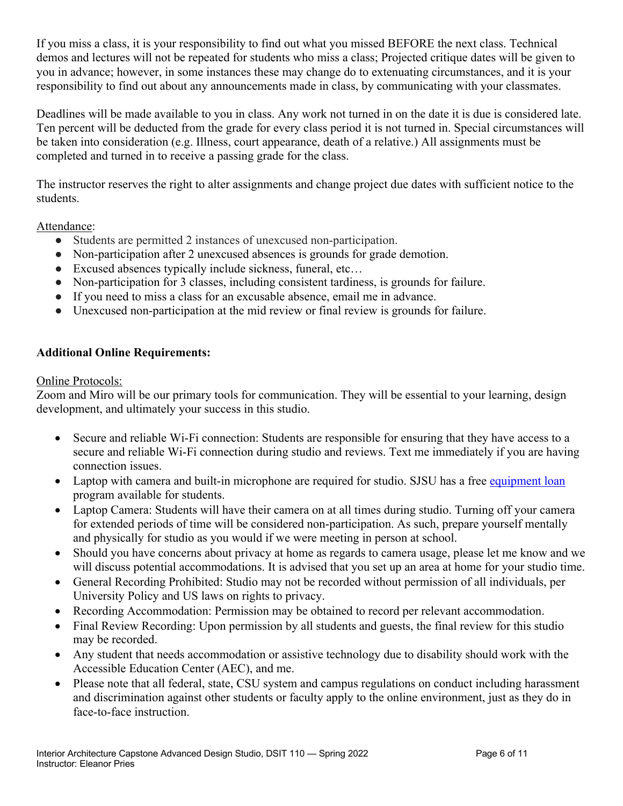If you miss a class, it is your responsibility to find out what you missed BEFORE the next class. Technical demos and lectures will not be repeated for students who miss a class; Projected critique dates will be given to you in advance; however, in some instances these may change do to extenuating circumstances, and it is your responsibility to find out about any announcements made in class, by communicating with your classmates.

Deadlines will be made available to you in class. Any work not turned in on the date it is due is considered late. Ten percent will be deducted from the grade for every class period it is not turned in. Special circumstances will be taken into consideration (e.g. Illness, court appearance, death of a relative.) All assignments must be completed and turned in to receive a passing grade for the class.

The instructor reserves the right to alter assignments and change project due dates with sufficient notice to the students.

Attendance:

- Students are permitted 2 instances of unexcused non-participation.
- Non-participation after 2 unexcused absences is grounds for grade demotion.
- Excused absences typically include sickness, funeral, etc...
- Non-participation for 3 classes, including consistent tardiness, is grounds for failure.
- If you need to miss a class for an excusable absence, email me in advance.
- Unexcused non-participation at the mid review or final review is grounds for failure.

# **Additional Online Requirements:**

Online Protocols:

Zoom and Miro will be our primary tools for communication. They will be essential to your learning, design development, and ultimately your success in this studio.

- Secure and reliable Wi-Fi connection: Students are responsible for ensuring that they have access to a secure and reliable Wi-Fi connection during studio and reviews. Text me immediately if you are having connection issues.
- Laptop with camera and built-in microphone are required for studio. SJSU has a free equipment loan program available for students.
- Laptop Camera: Students will have their camera on at all times during studio. Turning off your camera for extended periods of time will be considered non-participation. As such, prepare yourself mentally and physically for studio as you would if we were meeting in person at school.
- Should you have concerns about privacy at home as regards to camera usage, please let me know and we will discuss potential accommodations. It is advised that you set up an area at home for your studio time.
- General Recording Prohibited: Studio may not be recorded without permission of all individuals, per University Policy and US laws on rights to privacy.
- Recording Accommodation: Permission may be obtained to record per relevant accommodation.
- Final Review Recording: Upon permission by all students and guests, the final review for this studio may be recorded.
- Any student that needs accommodation or assistive technology due to disability should work with the Accessible Education Center (AEC), and me.
- Please note that all federal, state, CSU system and campus regulations on conduct including harassment and discrimination against other students or faculty apply to the online environment, just as they do in face-to-face instruction.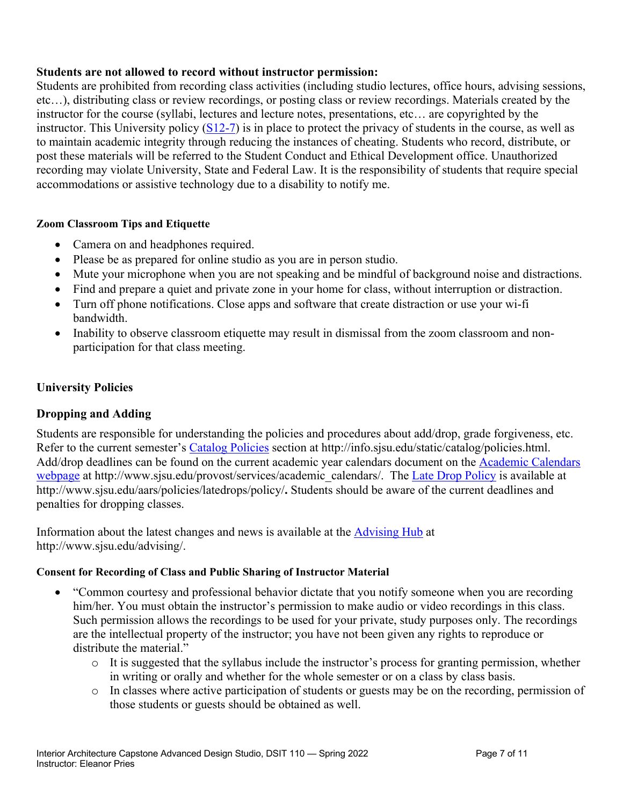#### **Students are not allowed to record without instructor permission:**

Students are prohibited from recording class activities (including studio lectures, office hours, advising sessions, etc…), distributing class or review recordings, or posting class or review recordings. Materials created by the instructor for the course (syllabi, lectures and lecture notes, presentations, etc… are copyrighted by the instructor. This University policy  $(S12-7)$  is in place to protect the privacy of students in the course, as well as to maintain academic integrity through reducing the instances of cheating. Students who record, distribute, or post these materials will be referred to the Student Conduct and Ethical Development office. Unauthorized recording may violate University, State and Federal Law. It is the responsibility of students that require special accommodations or assistive technology due to a disability to notify me.

#### **Zoom Classroom Tips and Etiquette**

- Camera on and headphones required.
- Please be as prepared for online studio as you are in person studio.
- Mute your microphone when you are not speaking and be mindful of background noise and distractions.
- Find and prepare a quiet and private zone in your home for class, without interruption or distraction.
- Turn off phone notifications. Close apps and software that create distraction or use your wi-fi bandwidth.
- Inability to observe classroom etiquette may result in dismissal from the zoom classroom and nonparticipation for that class meeting.

# **University Policies**

# **Dropping and Adding**

Students are responsible for understanding the policies and procedures about add/drop, grade forgiveness, etc. Refer to the current semester's Catalog Policies section at http://info.sjsu.edu/static/catalog/policies.html. Add/drop deadlines can be found on the current academic year calendars document on the Academic Calendars webpage at http://www.sjsu.edu/provost/services/academic\_calendars/. The Late Drop Policy is available at http://www.sjsu.edu/aars/policies/latedrops/policy/**.** Students should be aware of the current deadlines and penalties for dropping classes.

Information about the latest changes and news is available at the **Advising Hub** at http://www.sjsu.edu/advising/.

# **Consent for Recording of Class and Public Sharing of Instructor Material**

- "Common courtesy and professional behavior dictate that you notify someone when you are recording him/her. You must obtain the instructor's permission to make audio or video recordings in this class. Such permission allows the recordings to be used for your private, study purposes only. The recordings are the intellectual property of the instructor; you have not been given any rights to reproduce or distribute the material."
	- $\circ$  It is suggested that the syllabus include the instructor's process for granting permission, whether in writing or orally and whether for the whole semester or on a class by class basis.
	- o In classes where active participation of students or guests may be on the recording, permission of those students or guests should be obtained as well.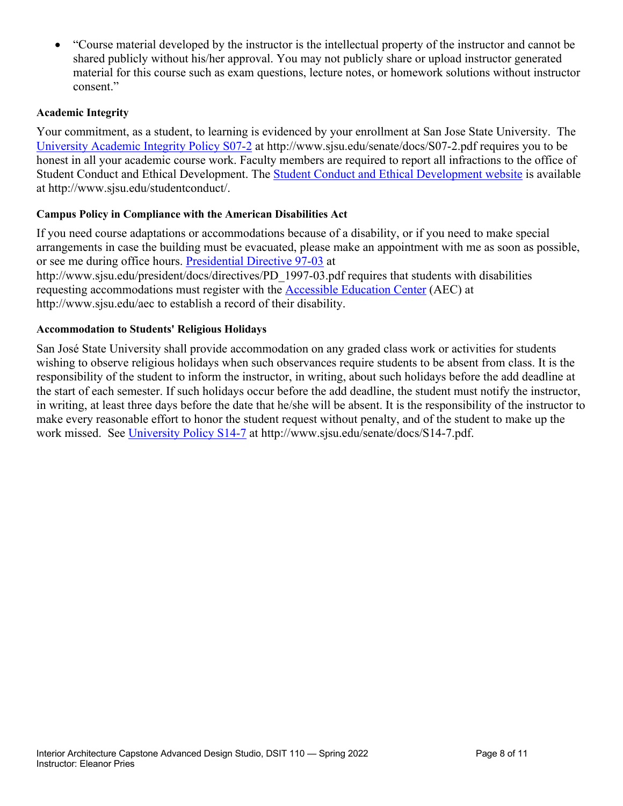• "Course material developed by the instructor is the intellectual property of the instructor and cannot be shared publicly without his/her approval. You may not publicly share or upload instructor generated material for this course such as exam questions, lecture notes, or homework solutions without instructor consent."

#### **Academic Integrity**

Your commitment, as a student, to learning is evidenced by your enrollment at San Jose State University. The University Academic Integrity Policy S07-2 at http://www.sjsu.edu/senate/docs/S07-2.pdf requires you to be honest in all your academic course work. Faculty members are required to report all infractions to the office of Student Conduct and Ethical Development. The Student Conduct and Ethical Development website is available at http://www.sjsu.edu/studentconduct/.

#### **Campus Policy in Compliance with the American Disabilities Act**

If you need course adaptations or accommodations because of a disability, or if you need to make special arrangements in case the building must be evacuated, please make an appointment with me as soon as possible, or see me during office hours. Presidential Directive 97-03 at

http://www.sjsu.edu/president/docs/directives/PD\_1997-03.pdf requires that students with disabilities requesting accommodations must register with the Accessible Education Center (AEC) at http://www.sjsu.edu/aec to establish a record of their disability.

#### **Accommodation to Students' Religious Holidays**

San José State University shall provide accommodation on any graded class work or activities for students wishing to observe religious holidays when such observances require students to be absent from class. It is the responsibility of the student to inform the instructor, in writing, about such holidays before the add deadline at the start of each semester. If such holidays occur before the add deadline, the student must notify the instructor, in writing, at least three days before the date that he/she will be absent. It is the responsibility of the instructor to make every reasonable effort to honor the student request without penalty, and of the student to make up the work missed. See University Policy S14-7 at http://www.sjsu.edu/senate/docs/S14-7.pdf.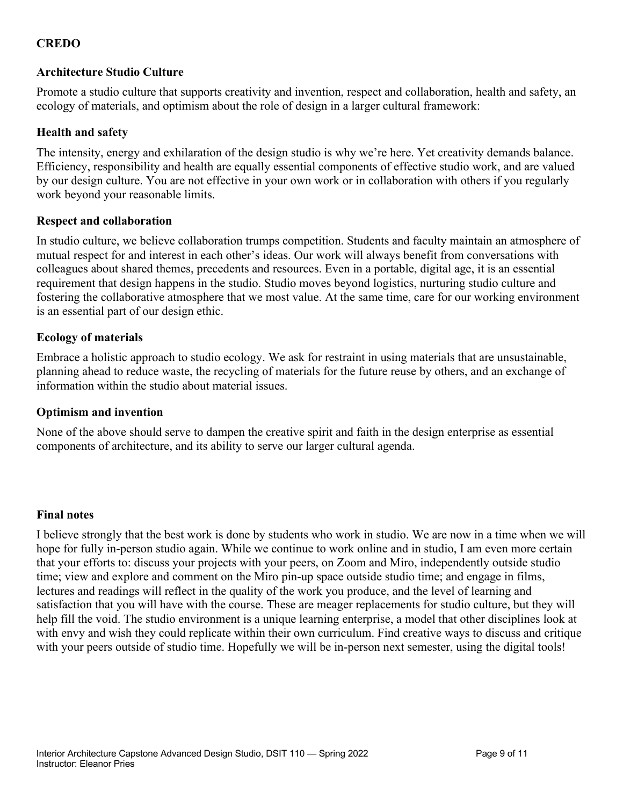# **CREDO**

#### **Architecture Studio Culture**

Promote a studio culture that supports creativity and invention, respect and collaboration, health and safety, an ecology of materials, and optimism about the role of design in a larger cultural framework:

#### **Health and safety**

The intensity, energy and exhilaration of the design studio is why we're here. Yet creativity demands balance. Efficiency, responsibility and health are equally essential components of effective studio work, and are valued by our design culture. You are not effective in your own work or in collaboration with others if you regularly work beyond your reasonable limits.

#### **Respect and collaboration**

In studio culture, we believe collaboration trumps competition. Students and faculty maintain an atmosphere of mutual respect for and interest in each other's ideas. Our work will always benefit from conversations with colleagues about shared themes, precedents and resources. Even in a portable, digital age, it is an essential requirement that design happens in the studio. Studio moves beyond logistics, nurturing studio culture and fostering the collaborative atmosphere that we most value. At the same time, care for our working environment is an essential part of our design ethic.

#### **Ecology of materials**

Embrace a holistic approach to studio ecology. We ask for restraint in using materials that are unsustainable, planning ahead to reduce waste, the recycling of materials for the future reuse by others, and an exchange of information within the studio about material issues.

#### **Optimism and invention**

None of the above should serve to dampen the creative spirit and faith in the design enterprise as essential components of architecture, and its ability to serve our larger cultural agenda.

#### **Final notes**

I believe strongly that the best work is done by students who work in studio. We are now in a time when we will hope for fully in-person studio again. While we continue to work online and in studio, I am even more certain that your efforts to: discuss your projects with your peers, on Zoom and Miro, independently outside studio time; view and explore and comment on the Miro pin-up space outside studio time; and engage in films, lectures and readings will reflect in the quality of the work you produce, and the level of learning and satisfaction that you will have with the course. These are meager replacements for studio culture, but they will help fill the void. The studio environment is a unique learning enterprise, a model that other disciplines look at with envy and wish they could replicate within their own curriculum. Find creative ways to discuss and critique with your peers outside of studio time. Hopefully we will be in-person next semester, using the digital tools!